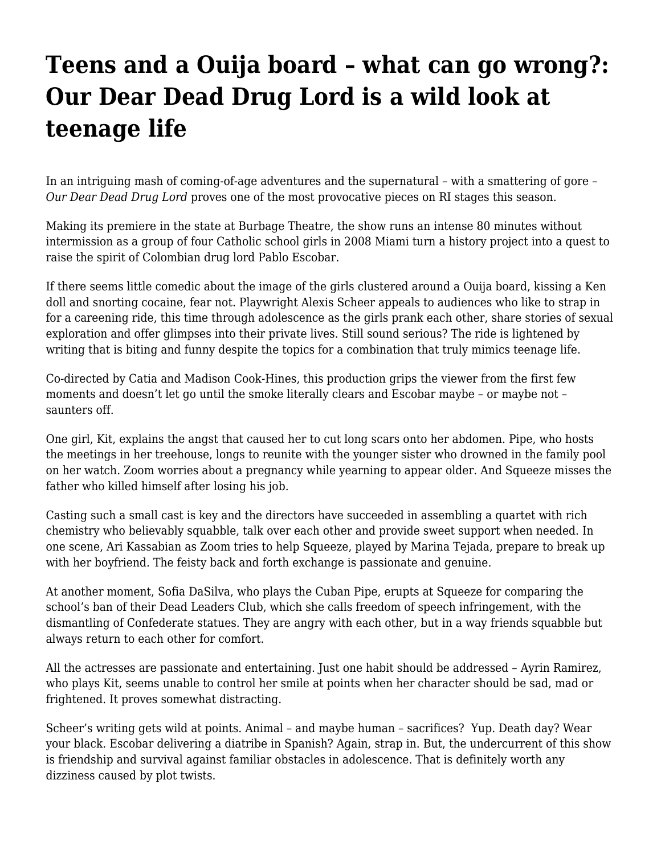## **[Teens and a Ouija board – what can go wrong?:](https://motifri.com/our-dear-dead-drug-lord/) [Our Dear Dead Drug Lord is a wild look at](https://motifri.com/our-dear-dead-drug-lord/) [teenage life](https://motifri.com/our-dear-dead-drug-lord/)**

In an intriguing mash of coming-of-age adventures and the supernatural – with a smattering of gore – *Our Dear Dead Drug Lord* proves one of the most provocative pieces on RI stages this season.

Making its premiere in the state at Burbage Theatre, the show runs an intense 80 minutes without intermission as a group of four Catholic school girls in 2008 Miami turn a history project into a quest to raise the spirit of Colombian drug lord Pablo Escobar.

If there seems little comedic about the image of the girls clustered around a Ouija board, kissing a Ken doll and snorting cocaine, fear not. Playwright Alexis Scheer appeals to audiences who like to strap in for a careening ride, this time through adolescence as the girls prank each other, share stories of sexual exploration and offer glimpses into their private lives. Still sound serious? The ride is lightened by writing that is biting and funny despite the topics for a combination that truly mimics teenage life.

Co-directed by Catia and Madison Cook-Hines, this production grips the viewer from the first few moments and doesn't let go until the smoke literally clears and Escobar maybe – or maybe not – saunters off.

One girl, Kit, explains the angst that caused her to cut long scars onto her abdomen. Pipe, who hosts the meetings in her treehouse, longs to reunite with the younger sister who drowned in the family pool on her watch. Zoom worries about a pregnancy while yearning to appear older. And Squeeze misses the father who killed himself after losing his job.

Casting such a small cast is key and the directors have succeeded in assembling a quartet with rich chemistry who believably squabble, talk over each other and provide sweet support when needed. In one scene, Ari Kassabian as Zoom tries to help Squeeze, played by Marina Tejada, prepare to break up with her boyfriend. The feisty back and forth exchange is passionate and genuine.

At another moment, Sofia DaSilva, who plays the Cuban Pipe, erupts at Squeeze for comparing the school's ban of their Dead Leaders Club, which she calls freedom of speech infringement, with the dismantling of Confederate statues. They are angry with each other, but in a way friends squabble but always return to each other for comfort.

All the actresses are passionate and entertaining. Just one habit should be addressed – Ayrin Ramirez, who plays Kit, seems unable to control her smile at points when her character should be sad, mad or frightened. It proves somewhat distracting.

Scheer's writing gets wild at points. Animal – and maybe human – sacrifices? Yup. Death day? Wear your black. Escobar delivering a diatribe in Spanish? Again, strap in. But, the undercurrent of this show is friendship and survival against familiar obstacles in adolescence. That is definitely worth any dizziness caused by plot twists.